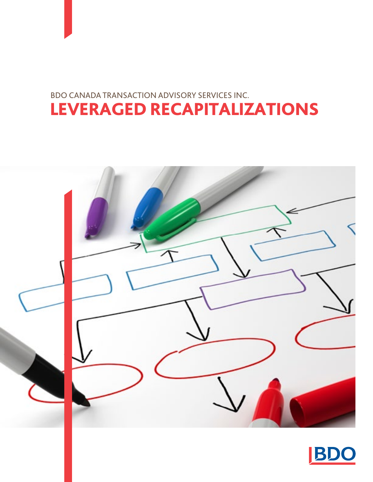## LEVERAGED RECAPITALIZATIONS BDO Canada Transaction Advisory Services Inc.



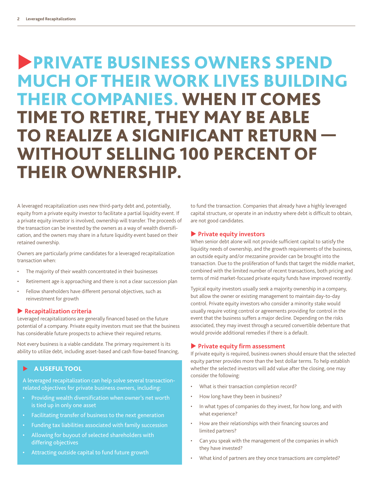# **PRIVATE BUSINESS OWNERS SPEND** much OF THEIR WORK LIVES BUILDING THEIR COMPANIES. WHEN IT COMES TIME TO RETIRE, THEY MAY BE ABLE TO REALIZE A SIGNIFICANT RETURN — WITHOUT SELLING 100 PERCENT OF THEIR OWNERSHIP.

A leveraged recapitalization uses new third-party debt and, potentially, equity from a private equity investor to facilitate a partial liquidity event. If a private equity investor is involved, ownership will transfer. The proceeds of the transaction can be invested by the owners as a way of wealth diversification, and the owners may share in a future liquidity event based on their retained ownership.

Owners are particularly prime candidates for a leveraged recapitalization transaction when:

- The majority of their wealth concentrated in their businesses
- Retirement age is approaching and there is not a clear succession plan
- Fellow shareholders have different personal objectives, such as reinvestment for growth

#### **Recapitalization criteria**

Leveraged recapitalizations are generally financed based on the future potential of a company. Private equity investors must see that the business has considerable future prospects to achieve their required returns.

Not every business is a viable candidate. The primary requirement is its ability to utilize debt, including asset-based and cash flow-based financing,

#### $\blacktriangleright$  A USEFUL TOOL

A leveraged recapitalization can help solve several transactionrelated objectives for private business owners, including:

- • Providing wealth diversification when owner's net worth is tied up in only one asset
- • Facilitating transfer of business to the next generation
- Funding tax liabilities associated with family succession
- • Allowing for buyout of selected shareholders with differing objectives
- • Attracting outside capital to fund future growth

to fund the transaction. Companies that already have a highly leveraged capital structure, or operate in an industry where debt is difficult to obtain, are not good candidates.

#### **Private equity investors**

When senior debt alone will not provide sufficient capital to satisfy the liquidity needs of ownership, and the growth requirements of the business, an outside equity and/or mezzanine provider can be brought into the transaction. Due to the proliferation of funds that target the middle market, combined with the limited number of recent transactions, both pricing and terms of mid market-focused private equity funds have improved recently.

Typical equity investors usually seek a majority ownership in a company, but allow the owner or existing management to maintain day-to-day control. Private equity investors who consider a minority stake would usually require voting control or agreements providing for control in the event that the business suffers a major decline. Depending on the risks associated, they may invest through a secured convertible debenture that would provide additional remedies if there is a default.

#### **Private equity firm assessment**

If private equity is required, business owners should ensure that the selected equity partner provides more than the best dollar terms. To help establish whether the selected investors will add value after the closing, one may consider the following:

- What is their transaction completion record?
- • How long have they been in business?
- In what types of companies do they invest, for how long, and with what experience?
- • How are their relationships with their financing sources and limited partners?
- • Can you speak with the management of the companies in which they have invested?
- What kind of partners are they once transactions are completed?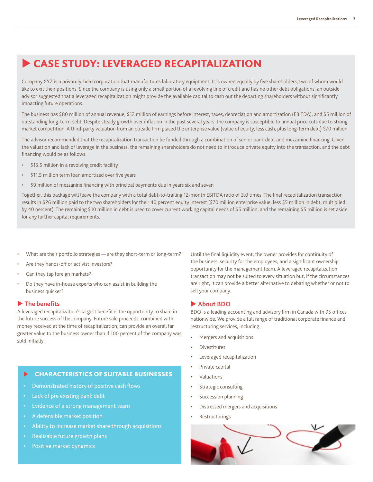### Case study: Leveraged recapitalization

Company XYZ is a privately-held corporation that manufactures laboratory equipment. It is owned equally by five shareholders, two of whom would like to exit their positions. Since the company is using only a small portion of a revolving line of credit and has no other debt obligations, an outside advisor suggested that a leveraged recapitalization might provide the available capital to cash out the departing shareholders without significantly impacting future operations.

The business has \$80 million of annual revenue, \$12 million of earnings before interest, taxes, depreciation and amortization (EBITDA), and \$5 million of outstanding long-term debt. Despite steady growth over inflation in the past several years, the company is susceptible to annual price cuts due to strong market competition. A third-party valuation from an outside firm placed the enterprise value (value of equity, less cash, plus long-term debt) \$70 million.

The advisor recommended that the recapitalization transaction be funded through a combination of senior bank debt and mezzanine financing. Given the valuation and lack of leverage in the business, the remaining shareholders do not need to introduce private equity into the transaction, and the debt financing would be as follows:

- \$15.5 million in a revolving credit facility
- \$11.5 million term loan amortized over five years
- \$9 million of mezzanine financing with principal payments due in years six and seven

Together, this package will leave the company with a total debt-to-trailing 12-month EBITDA ratio of 3.0 times. The final recapitalization transaction results in \$26 million paid to the two shareholders for their 40 percent equity interest (\$70 million enterprise value, less \$5 million in debt, multiplied by 40 percent). The remaining \$10 million in debt is used to cover current working capital needs of \$5 million, and the remaining \$5 million is set aside for any further capital requirements.

- What are their portfolio strategies are they short-term or long-term?
- Are they hands-off or activist investors?
- Can they tap foreign markets?
- Do they have in-house experts who can assist in building the business quicker?

#### **The benefits**

A leveraged recapitalization's largest benefit is the opportunity to share in the future success of the company. Future sale proceeds, combined with money received at the time of recapitalization, can provide an overall far greater value to the business owner than if 100 percent of the company was sold initially.

#### $\blacktriangleright$  CHARACTERISTICS OF SUITABLE BUSINESSES

- Demonstrated history of positive cash flows
- Lack of pre existing bank debt
- Evidence of a strong management team
- A defensible market position
- Ability to increase market share through acquisitions
- Realizable future growth plans
- Positive market dynamics

Until the final liquidity event, the owner provides for continuity of the business, security for the employees, and a significant ownership opportunity for the management team. A leveraged recapitalization transaction may not be suited to every situation but, if the circumstances are right, it can provide a better alternative to debating whether or not to sell your company.

#### **About BDO**

BDO is a leading accounting and advisory firm in Canada with 95 offices nationwide. We provide a full range of traditional corporate finance and restructuring services, including:

- Mergers and acquisitions
- **Divestitures**
- Leveraged recapitalization
- Private capital
- **Valuations**
- Strategic consulting
- Succession planning
- Distressed mergers and acquisitions
- **Restructurings**